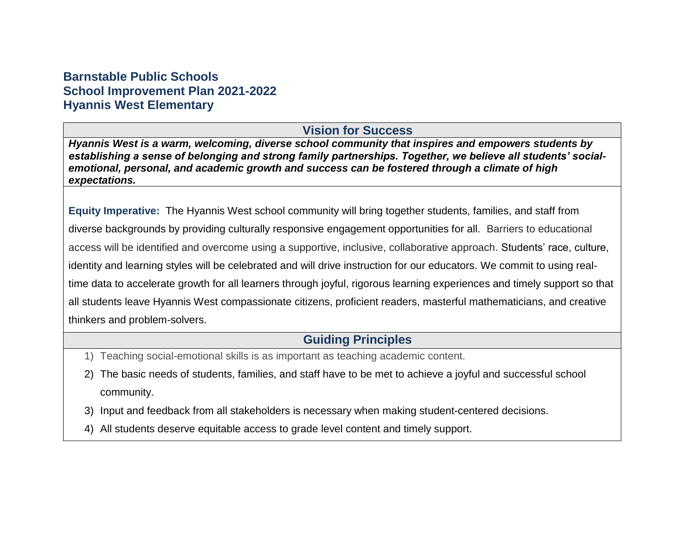## **Barnstable Public Schools School Improvement Plan 2021-2022 Hyannis West Elementary**

### **Vision for Success**

*Hyannis West is a warm, welcoming, diverse school community that inspires and empowers students by establishing a sense of belonging and strong family partnerships. Together, we believe all students' socialemotional, personal, and academic growth and success can be fostered through a climate of high expectations.*

**Equity Imperative:** The Hyannis West school community will bring together students, families, and staff from diverse backgrounds by providing culturally responsive engagement opportunities for all. Barriers to educational access will be identified and overcome using a supportive, inclusive, collaborative approach. Students' race, culture, identity and learning styles will be celebrated and will drive instruction for our educators. We commit to using realtime data to accelerate growth for all learners through joyful, rigorous learning experiences and timely support so that all students leave Hyannis West compassionate citizens, proficient readers, masterful mathematicians, and creative thinkers and problem-solvers.

### **Guiding Principles**

- 1) Teaching social-emotional skills is as important as teaching academic content.
- 2) The basic needs of students, families, and staff have to be met to achieve a joyful and successful school community.
- 3) Input and feedback from all stakeholders is necessary when making student-centered decisions.
- 4) All students deserve equitable access to grade level content and timely support.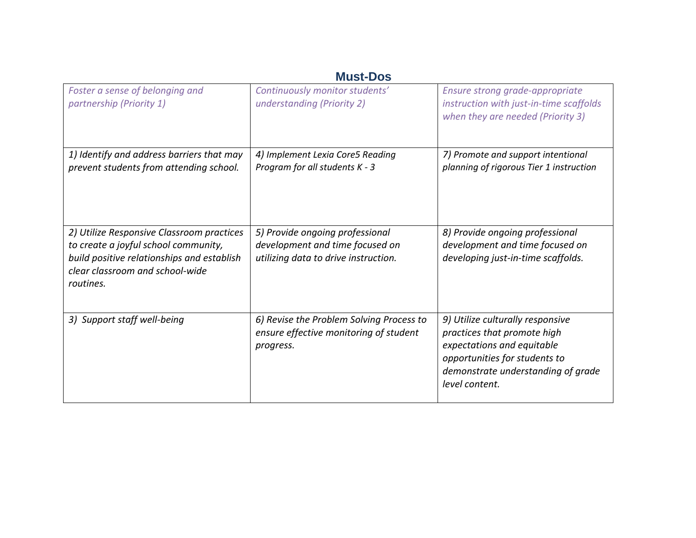|                                                                                                                                                                                 | <b>Must-Dos</b>                                                                                            |                                                                                                                                                                                        |
|---------------------------------------------------------------------------------------------------------------------------------------------------------------------------------|------------------------------------------------------------------------------------------------------------|----------------------------------------------------------------------------------------------------------------------------------------------------------------------------------------|
| Foster a sense of belonging and<br>partnership (Priority 1)                                                                                                                     | Continuously monitor students'<br>understanding (Priority 2)                                               | Ensure strong grade-appropriate<br>instruction with just-in-time scaffolds<br>when they are needed (Priority 3)                                                                        |
| 1) Identify and address barriers that may<br>prevent students from attending school.                                                                                            | 4) Implement Lexia Core5 Reading<br>Program for all students K - 3                                         | 7) Promote and support intentional<br>planning of rigorous Tier 1 instruction                                                                                                          |
| 2) Utilize Responsive Classroom practices<br>to create a joyful school community,<br>build positive relationships and establish<br>clear classroom and school-wide<br>routines. | 5) Provide ongoing professional<br>development and time focused on<br>utilizing data to drive instruction. | 8) Provide ongoing professional<br>development and time focused on<br>developing just-in-time scaffolds.                                                                               |
| 3) Support staff well-being                                                                                                                                                     | 6) Revise the Problem Solving Process to<br>ensure effective monitoring of student<br>progress.            | 9) Utilize culturally responsive<br>practices that promote high<br>expectations and equitable<br>opportunities for students to<br>demonstrate understanding of grade<br>level content. |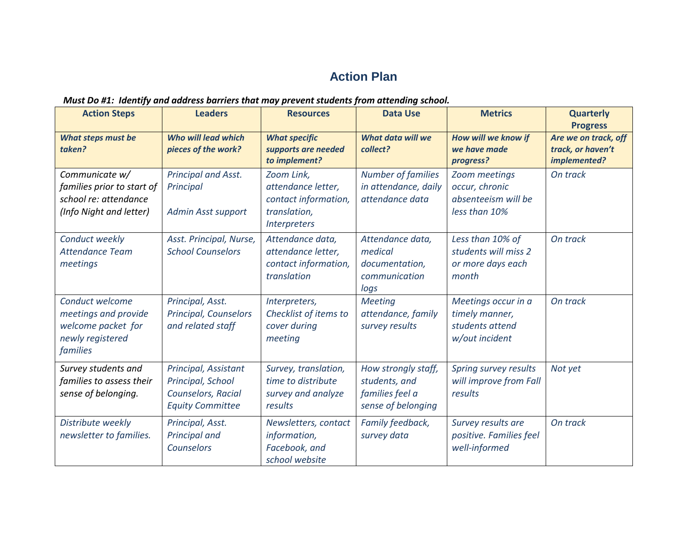# **Action Plan**

#### *Must Do #1: Identify and address barriers that may prevent students from attending school.*

| <b>Action Steps</b>                                                                              | <b>Leaders</b>                                                                             | <b>Resources</b>                                                                                | <b>Data Use</b>                                                               | <b>Metrics</b>                                                             | <b>Quarterly</b><br><b>Progress</b>                       |
|--------------------------------------------------------------------------------------------------|--------------------------------------------------------------------------------------------|-------------------------------------------------------------------------------------------------|-------------------------------------------------------------------------------|----------------------------------------------------------------------------|-----------------------------------------------------------|
| What steps must be<br>taken?                                                                     | Who will lead which<br>pieces of the work?                                                 | <b>What specific</b><br>supports are needed<br>to implement?                                    | What data will we<br>collect?                                                 | How will we know if<br>we have made<br>progress?                           | Are we on track, off<br>track, or haven't<br>implemented? |
| Communicate w/<br>families prior to start of<br>school re: attendance<br>(Info Night and letter) | Principal and Asst.<br>Principal<br><b>Admin Asst support</b>                              | Zoom Link,<br>attendance letter,<br>contact information,<br>translation,<br><b>Interpreters</b> | Number of families<br>in attendance, daily<br>attendance data                 | Zoom meetings<br>occur, chronic<br>absenteeism will be<br>less than 10%    | On track                                                  |
| Conduct weekly<br><b>Attendance Team</b><br>meetings                                             | Asst. Principal, Nurse,<br><b>School Counselors</b>                                        | Attendance data,<br>attendance letter,<br>contact information,<br>translation                   | Attendance data,<br>medical<br>documentation,<br>communication<br>logs        | Less than 10% of<br>students will miss 2<br>or more days each<br>month     | On track                                                  |
| Conduct welcome<br>meetings and provide<br>welcome packet for<br>newly registered<br>families    | Principal, Asst.<br><b>Principal, Counselors</b><br>and related staff                      | Interpreters,<br>Checklist of items to<br>cover during<br>meeting                               | <b>Meeting</b><br>attendance, family<br>survey results                        | Meetings occur in a<br>timely manner,<br>students attend<br>w/out incident | On track                                                  |
| Survey students and<br>families to assess their<br>sense of belonging.                           | Principal, Assistant<br>Principal, School<br>Counselors, Racial<br><b>Equity Committee</b> | Survey, translation,<br>time to distribute<br>survey and analyze<br>results                     | How strongly staff,<br>students, and<br>families feel a<br>sense of belonging | Spring survey results<br>will improve from Fall<br>results                 | Not yet                                                   |
| Distribute weekly<br>newsletter to families.                                                     | Principal, Asst.<br>Principal and<br>Counselors                                            | Newsletters, contact<br>information,<br>Facebook, and<br>school website                         | Family feedback,<br>survey data                                               | Survey results are<br>positive. Families feel<br>well-informed             | On track                                                  |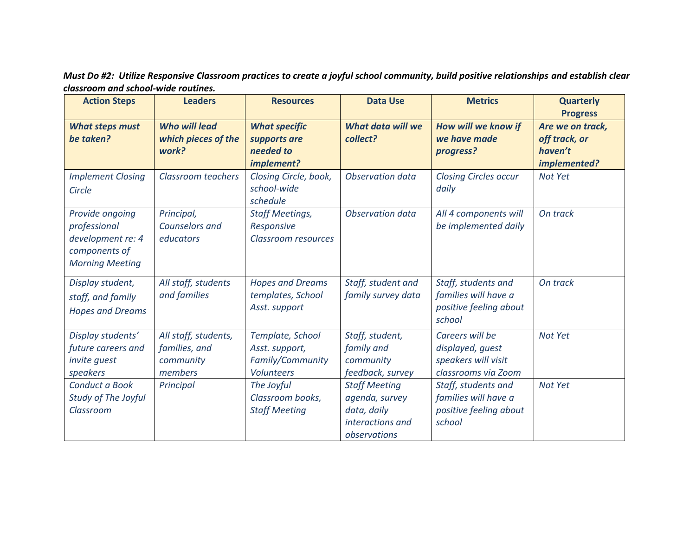| <b>Action Steps</b>                                                                             | <b>Leaders</b>                                                | <b>Resources</b>                                                            | <b>Data Use</b>                                                                           | <b>Metrics</b>                                                                    | <b>Quarterly</b><br><b>Progress</b>                          |
|-------------------------------------------------------------------------------------------------|---------------------------------------------------------------|-----------------------------------------------------------------------------|-------------------------------------------------------------------------------------------|-----------------------------------------------------------------------------------|--------------------------------------------------------------|
| <b>What steps must</b><br>be taken?                                                             | Who will lead<br>which pieces of the<br>work?                 | <b>What specific</b><br>supports are<br>needed to<br>implement?             | What data will we<br>collect?                                                             | How will we know if<br>we have made<br>progress?                                  | Are we on track,<br>off track, or<br>haven't<br>implemented? |
| <b>Implement Closing</b><br>Circle                                                              | <b>Classroom teachers</b>                                     | Closing Circle, book,<br>school-wide<br>schedule                            | Observation data                                                                          | <b>Closing Circles occur</b><br>daily                                             | Not Yet                                                      |
| Provide ongoing<br>professional<br>development re: 4<br>components of<br><b>Morning Meeting</b> | Principal,<br>Counselors and<br>educators                     | <b>Staff Meetings,</b><br>Responsive<br>Classroom resources                 | Observation data                                                                          | All 4 components will<br>be implemented daily                                     | On track                                                     |
| Display student,<br>staff, and family<br><b>Hopes and Dreams</b>                                | All staff, students<br>and families                           | <b>Hopes and Dreams</b><br>templates, School<br>Asst. support               | Staff, student and<br>family survey data                                                  | Staff, students and<br>families will have a<br>positive feeling about<br>school   | On track                                                     |
| Display students'<br>future careers and<br>invite quest<br>speakers                             | All staff, students,<br>families, and<br>community<br>members | Template, School<br>Asst. support,<br>Family/Community<br><b>Volunteers</b> | Staff, student,<br>family and<br>community<br>feedback, survey                            | Careers will be<br>displayed, quest<br>speakers will visit<br>classrooms via Zoom | Not Yet                                                      |
| Conduct a Book<br>Study of The Joyful<br>Classroom                                              | Principal                                                     | The Joyful<br>Classroom books,<br><b>Staff Meeting</b>                      | <b>Staff Meeting</b><br>agenda, survey<br>data, daily<br>interactions and<br>observations | Staff, students and<br>families will have a<br>positive feeling about<br>school   | Not Yet                                                      |

*Must Do #2: Utilize Responsive Classroom practices to create a joyful school community, build positive relationships and establish clear classroom and school-wide routines.*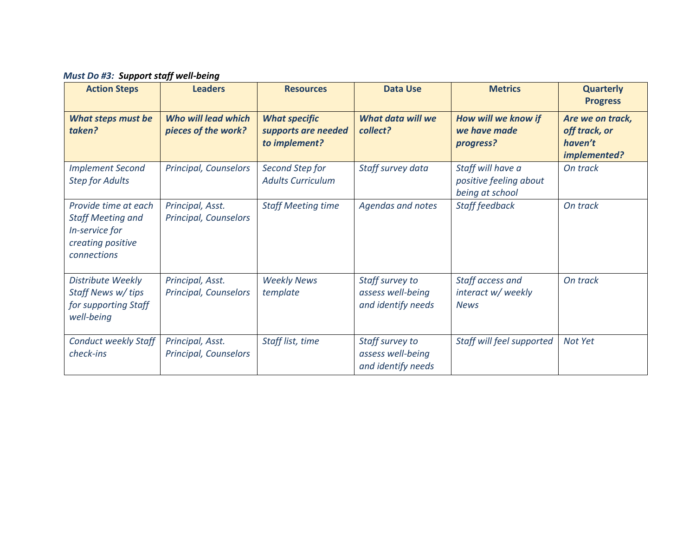*Must Do #3: Support staff well-being*

| <b>Action Steps</b>                                                                                    | <b>Leaders</b>                                    | <b>Resources</b>                                             | <b>Data Use</b>                                            | <b>Metrics</b>                                                 | <b>Quarterly</b><br><b>Progress</b>                          |
|--------------------------------------------------------------------------------------------------------|---------------------------------------------------|--------------------------------------------------------------|------------------------------------------------------------|----------------------------------------------------------------|--------------------------------------------------------------|
| What steps must be<br>taken?                                                                           | <b>Who will lead which</b><br>pieces of the work? | <b>What specific</b><br>supports are needed<br>to implement? | What data will we<br>collect?                              | How will we know if<br>we have made<br>progress?               | Are we on track,<br>off track, or<br>haven't<br>implemented? |
| <b>Implement Second</b><br><b>Step for Adults</b>                                                      | Principal, Counselors                             | Second Step for<br><b>Adults Curriculum</b>                  | Staff survey data                                          | Staff will have a<br>positive feeling about<br>being at school | On track                                                     |
| Provide time at each<br><b>Staff Meeting and</b><br>In-service for<br>creating positive<br>connections | Principal, Asst.<br>Principal, Counselors         | <b>Staff Meeting time</b>                                    | Agendas and notes                                          | Staff feedback                                                 | On track                                                     |
| Distribute Weekly<br>Staff News w/ tips<br>for supporting Staff<br>well-being                          | Principal, Asst.<br>Principal, Counselors         | <b>Weekly News</b><br>template                               | Staff survey to<br>assess well-being<br>and identify needs | Staff access and<br>interact w/weekly<br><b>News</b>           | On track                                                     |
| <b>Conduct weekly Staff</b><br>check-ins                                                               | Principal, Asst.<br>Principal, Counselors         | Staff list, time                                             | Staff survey to<br>assess well-being<br>and identify needs | Staff will feel supported                                      | Not Yet                                                      |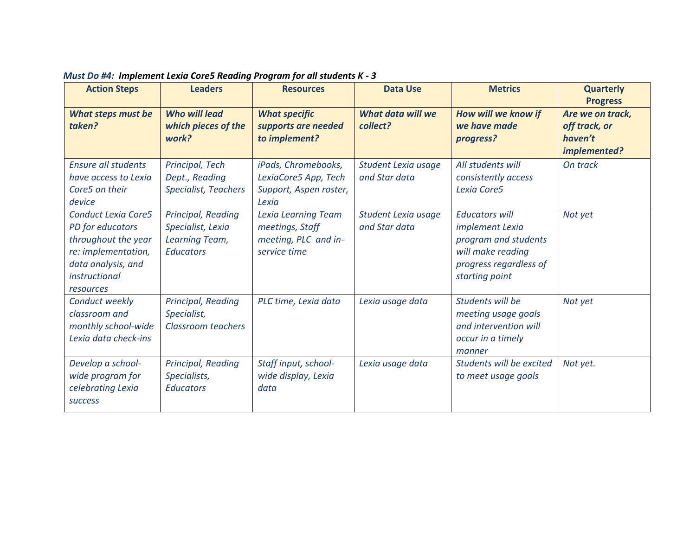| <b>Action Steps</b>                                                                                                                              | <b>Leaders</b>                                                                | <b>Resources</b>                                                               | <b>Data Use</b>                      | <b>Metrics</b>                                                                                                                    | <b>Quarterly</b><br><b>Progress</b>                          |
|--------------------------------------------------------------------------------------------------------------------------------------------------|-------------------------------------------------------------------------------|--------------------------------------------------------------------------------|--------------------------------------|-----------------------------------------------------------------------------------------------------------------------------------|--------------------------------------------------------------|
| What steps must be<br>taken?                                                                                                                     | <b>Who will lead</b><br>which pieces of the<br>work?                          | <b>What specific</b><br>supports are needed<br>to implement?                   | <b>What data will we</b><br>collect? | How will we know if<br>we have made<br>progress?                                                                                  | Are we on track,<br>off track, or<br>haven't<br>implemented? |
| <b>Ensure all students</b><br>have access to Lexia<br>Core5 on their<br>device                                                                   | Principal, Tech<br>Dept., Reading<br>Specialist, Teachers                     | iPads, Chromebooks,<br>LexiaCore5 App, Tech<br>Support, Aspen roster,<br>Lexia | Student Lexia usage<br>and Star data | All students will<br>consistently access<br>Lexia Core5                                                                           | On track                                                     |
| <b>Conduct Lexia Core5</b><br>PD for educators<br>throughout the year<br>re: implementation,<br>data analysis, and<br>instructional<br>resources | Principal, Reading<br>Specialist, Lexia<br>Learning Team,<br><b>Educators</b> | Lexia Learning Team<br>meetings, Staff<br>meeting, PLC and in-<br>service time | Student Lexia usage<br>and Star data | <b>Educators will</b><br>implement Lexia<br>program and students<br>will make reading<br>progress regardless of<br>starting point | Not yet                                                      |
| Conduct weekly<br>classroom and<br>monthly school-wide<br>Lexia data check-ins                                                                   | Principal, Reading<br>Specialist,<br>Classroom teachers                       | PLC time, Lexia data                                                           | Lexia usage data                     | Students will be<br>meeting usage goals<br>and intervention will<br>occur in a timely<br>manner                                   | Not yet                                                      |
| Develop a school-<br>wide program for<br>celebrating Lexia<br><b>SUCCESS</b>                                                                     | Principal, Reading<br>Specialists,<br><b>Educators</b>                        | Staff input, school-<br>wide display, Lexia<br>data                            | Lexia usage data                     | Students will be excited<br>to meet usage goals                                                                                   | Not yet.                                                     |

*Must Do #4: Implement Lexia Core5 Reading Program for all students K - 3*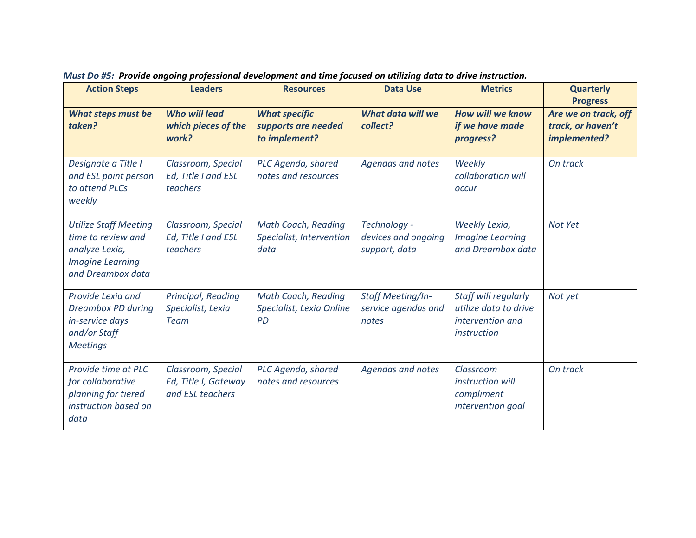| <b>Action Steps</b>                                                                                                  | <b>Leaders</b>                                                 | <b>Resources</b>                                             | <b>Data Use</b>                                      | <b>Metrics</b>                                                                   | <b>Quarterly</b><br><b>Progress</b>                       |
|----------------------------------------------------------------------------------------------------------------------|----------------------------------------------------------------|--------------------------------------------------------------|------------------------------------------------------|----------------------------------------------------------------------------------|-----------------------------------------------------------|
| What steps must be<br>taken?                                                                                         | <b>Who will lead</b><br>which pieces of the<br>work?           | <b>What specific</b><br>supports are needed<br>to implement? | <b>What data will we</b><br>collect?                 | <b>How will we know</b><br>if we have made<br>progress?                          | Are we on track, off<br>track, or haven't<br>implemented? |
| Designate a Title I<br>and ESL point person<br>to attend PLCs<br>weekly                                              | Classroom, Special<br>Ed, Title I and ESL<br>teachers          | PLC Agenda, shared<br>notes and resources                    | Agendas and notes                                    | Weekly<br>collaboration will<br>occur                                            | On track                                                  |
| <b>Utilize Staff Meeting</b><br>time to review and<br>analyze Lexia,<br><b>Imagine Learning</b><br>and Dreambox data | Classroom, Special<br>Ed, Title I and ESL<br>teachers          | Math Coach, Reading<br>Specialist, Intervention<br>data      | Technology -<br>devices and ongoing<br>support, data | Weekly Lexia,<br><b>Imagine Learning</b><br>and Dreambox data                    | Not Yet                                                   |
| Provide Lexia and<br>Dreambox PD during<br>in-service days<br>and/or Staff<br><b>Meetings</b>                        | Principal, Reading<br>Specialist, Lexia<br><b>Team</b>         | Math Coach, Reading<br>Specialist, Lexia Online<br><b>PD</b> | Staff Meeting/In-<br>service agendas and<br>notes    | Staff will regularly<br>utilize data to drive<br>intervention and<br>instruction | Not yet                                                   |
| Provide time at PLC<br>for collaborative<br>planning for tiered<br>instruction based on<br>data                      | Classroom, Special<br>Ed, Title I, Gateway<br>and ESL teachers | PLC Agenda, shared<br>notes and resources                    | Agendas and notes                                    | Classroom<br>instruction will<br>compliment<br>intervention goal                 | On track                                                  |

*Must Do #5: Provide ongoing professional development and time focused on utilizing data to drive instruction.*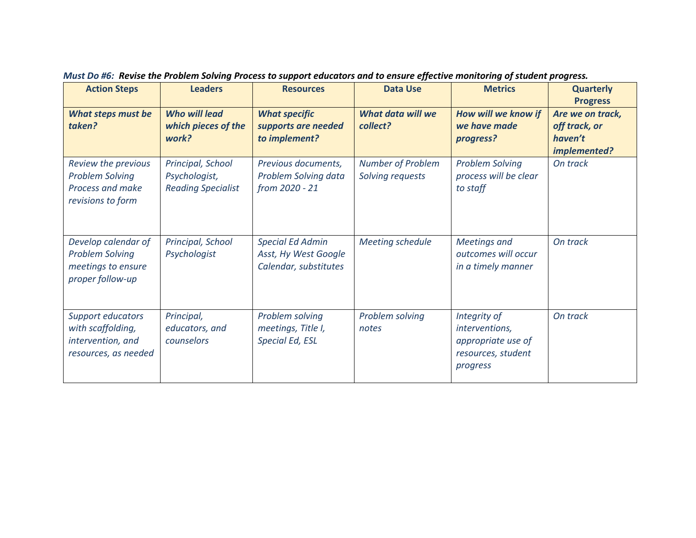| <b>Action Steps</b>                                                                     | <b>Leaders</b>                                                  | <b>Resources</b>                                                         | <b>Data Use</b>                              | <b>Metrics</b>                                                                         | <b>Quarterly</b><br><b>Progress</b>                          |
|-----------------------------------------------------------------------------------------|-----------------------------------------------------------------|--------------------------------------------------------------------------|----------------------------------------------|----------------------------------------------------------------------------------------|--------------------------------------------------------------|
| What steps must be<br>taken?                                                            | <b>Who will lead</b><br>which pieces of the<br>work?            | <b>What specific</b><br>supports are needed<br>to implement?             | <b>What data will we</b><br>collect?         | How will we know if<br>we have made<br>progress?                                       | Are we on track,<br>off track, or<br>haven't<br>implemented? |
| Review the previous<br><b>Problem Solving</b><br>Process and make<br>revisions to form  | Principal, School<br>Psychologist,<br><b>Reading Specialist</b> | Previous documents,<br>Problem Solving data<br>from 2020 - 21            | <b>Number of Problem</b><br>Solving requests | <b>Problem Solving</b><br>process will be clear<br>to staff                            | On track                                                     |
| Develop calendar of<br><b>Problem Solving</b><br>meetings to ensure<br>proper follow-up | Principal, School<br>Psychologist                               | <b>Special Ed Admin</b><br>Asst, Hy West Google<br>Calendar, substitutes | Meeting schedule                             | Meetings and<br>outcomes will occur<br>in a timely manner                              | On track                                                     |
| Support educators<br>with scaffolding,<br>intervention, and<br>resources, as needed     | Principal,<br>educators, and<br>counselors                      | Problem solving<br>meetings, Title I,<br>Special Ed, ESL                 | Problem solving<br>notes                     | Integrity of<br>interventions,<br>appropriate use of<br>resources, student<br>progress | On track                                                     |

*Must Do #6: Revise the Problem Solving Process to support educators and to ensure effective monitoring of student progress.*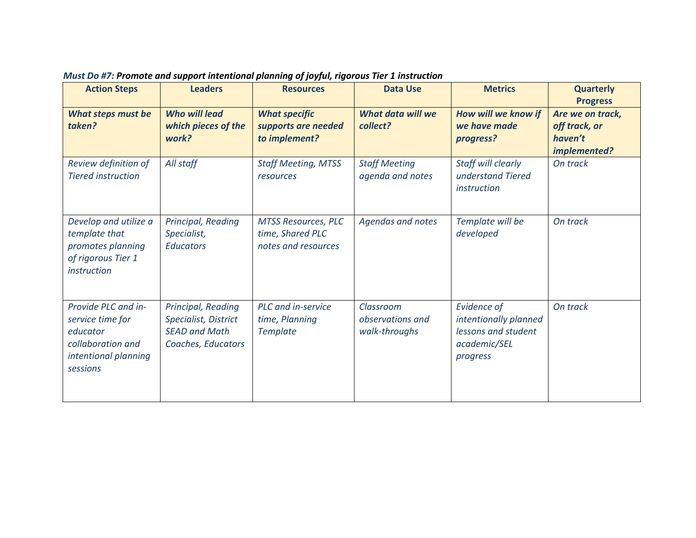| <b>Action Steps</b>                                                                                          | <b>Leaders</b>                                                                           | <b>Resources</b>                                                      | <b>Data Use</b>                                | <b>Metrics</b>                                                                                 | <b>Quarterly</b><br><b>Progress</b>                          |
|--------------------------------------------------------------------------------------------------------------|------------------------------------------------------------------------------------------|-----------------------------------------------------------------------|------------------------------------------------|------------------------------------------------------------------------------------------------|--------------------------------------------------------------|
| <b>What steps must be</b><br>taken?                                                                          | <b>Who will lead</b><br>which pieces of the<br>work?                                     | <b>What specific</b><br>supports are needed<br>to implement?          | <b>What data will we</b><br>collect?           | How will we know if<br>we have made<br>progress?                                               | Are we on track,<br>off track, or<br>haven't<br>implemented? |
| Review definition of<br><b>Tiered instruction</b>                                                            | All staff                                                                                | <b>Staff Meeting, MTSS</b><br>resources                               | <b>Staff Meeting</b><br>agenda and notes       | Staff will clearly<br>understand Tiered<br>instruction                                         | On track                                                     |
| Develop and utilize a<br>template that<br>promotes planning<br>of rigorous Tier 1<br>instruction             | Principal, Reading<br>Specialist,<br><b>Educators</b>                                    | <b>MTSS Resources, PLC</b><br>time, Shared PLC<br>notes and resources | Agendas and notes                              | Template will be<br>developed                                                                  | On track                                                     |
| Provide PLC and in-<br>service time for<br>educator<br>collaboration and<br>intentional planning<br>sessions | Principal, Reading<br>Specialist, District<br><b>SEAD and Math</b><br>Coaches, Educators | PLC and in-service<br>time, Planning<br><b>Template</b>               | Classroom<br>observations and<br>walk-throughs | <b>Evidence of</b><br>intentionally planned<br>lessons and student<br>academic/SEL<br>progress | On track                                                     |

*Must Do #7: Promote and support intentional planning of joyful, rigorous Tier 1 instruction*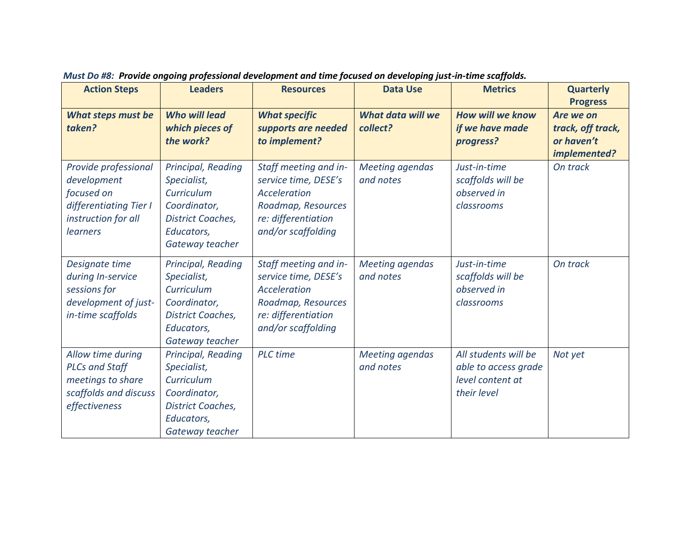| <b>Action Steps</b>                                                                                                   | <b>Leaders</b>                                                                                                               | <b>Resources</b>                                                                                                                        | <b>Data Use</b>                      | <b>Metrics</b>                                                                  | <b>Quarterly</b><br><b>Progress</b>                          |
|-----------------------------------------------------------------------------------------------------------------------|------------------------------------------------------------------------------------------------------------------------------|-----------------------------------------------------------------------------------------------------------------------------------------|--------------------------------------|---------------------------------------------------------------------------------|--------------------------------------------------------------|
| What steps must be<br>taken?                                                                                          | <b>Who will lead</b><br>which pieces of<br>the work?                                                                         | <b>What specific</b><br>supports are needed<br>to implement?                                                                            | <b>What data will we</b><br>collect? | <b>How will we know</b><br>if we have made<br>progress?                         | Are we on<br>track, off track,<br>or haven't<br>implemented? |
| Provide professional<br>development<br>focused on<br>differentiating Tier I<br>instruction for all<br><i>learners</i> | Principal, Reading<br>Specialist,<br>Curriculum<br>Coordinator,<br>District Coaches,<br>Educators,<br>Gateway teacher        | Staff meeting and in-<br>service time, DESE's<br><b>Acceleration</b><br>Roadmap, Resources<br>re: differentiation<br>and/or scaffolding | <b>Meeting agendas</b><br>and notes  | Just-in-time<br>scaffolds will be<br>observed in<br>classrooms                  | On track                                                     |
| Designate time<br>during In-service<br>sessions for<br>development of just-<br>in-time scaffolds                      | Principal, Reading<br>Specialist,<br>Curriculum<br>Coordinator,<br><b>District Coaches,</b><br>Educators,<br>Gateway teacher | Staff meeting and in-<br>service time, DESE's<br><b>Acceleration</b><br>Roadmap, Resources<br>re: differentiation<br>and/or scaffolding | Meeting agendas<br>and notes         | Just-in-time<br>scaffolds will be<br>observed in<br>classrooms                  | On track                                                     |
| Allow time during<br><b>PLCs and Staff</b><br>meetings to share<br>scaffolds and discuss<br>effectiveness             | Principal, Reading<br>Specialist,<br>Curriculum<br>Coordinator,<br>District Coaches,<br>Educators,<br>Gateway teacher        | <b>PLC</b> time                                                                                                                         | Meeting agendas<br>and notes         | All students will be<br>able to access grade<br>level content at<br>their level | Not yet                                                      |

*Must Do #8: Provide ongoing professional development and time focused on developing just-in-time scaffolds.*